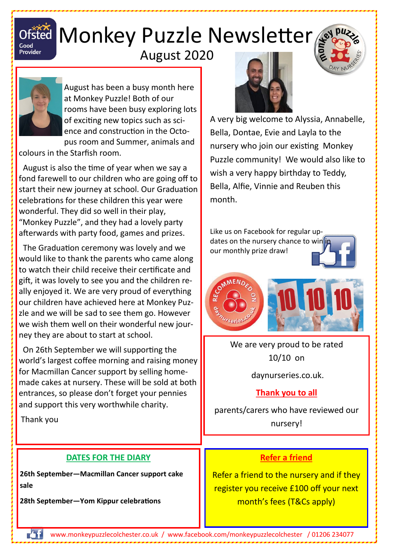

# Ofsted Monkey Puzzle Newsletter

## August 2020



August has been a busy month here at Monkey Puzzle! Both of our rooms have been busy exploring lots of exciting new topics such as science and construction in the Octopus room and Summer, animals and

colours in the Starfish room.

 August is also the time of year when we say a fond farewell to our children who are going off to start their new journey at school. Our Graduation celebrations for these children this year were wonderful. They did so well in their play, "Monkey Puzzle", and they had a lovely party afterwards with party food, games and prizes.

 The Graduation ceremony was lovely and we would like to thank the parents who came along to watch their child receive their certificate and gift, it was lovely to see you and the children really enjoyed it. We are very proud of everything our children have achieved here at Monkey Puzzle and we will be sad to see them go. However we wish them well on their wonderful new journey they are about to start at school.

 On 26th September we will supporting the world's largest coffee morning and raising money for Macmillan Cancer support by selling homemade cakes at nursery. These will be sold at both entrances, so please don't forget your pennies and support this very worthwhile charity.

Thank you

#### **DATES FOR THE DIARY**

**26th September—Macmillan Cancer support cake sale**

**28th September—Yom Kippur celebrations**



A very big welcome to Alyssia, Annabelle, Bella, Dontae, Evie and Layla to the nursery who join our existing Monkey Puzzle community! We would also like to wish a very happy birthday to Teddy, Bella, Alfie, Vinnie and Reuben this month.

Like us on Facebook for regular updates on the nursery chance to win in our monthly prize draw!



We are very proud to be rated 10/10 on

daynurseries.co.uk.

#### **Thank you to all**

parents/carers who have reviewed our nursery!

#### **Refer a friend**

Refer a friend to the nursery and if they register you receive £100 off your next month's fees (T&Cs apply)

 $\mathcal{L}$ www.monkeypuzzlecolchester.co.uk / [www.facebook.com/monkeypuzzlecolchester](http://www.facebook.com/monkeypuzzlecolchester) / 01206 234077